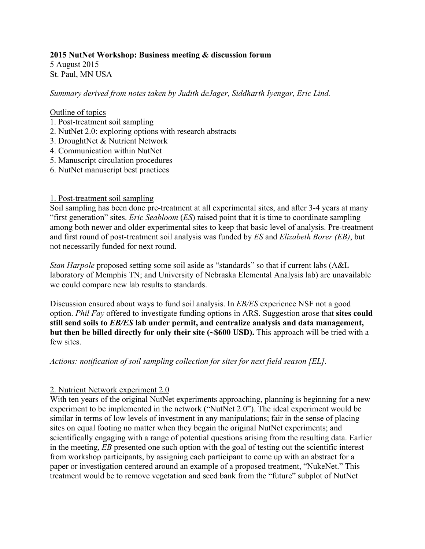#### **2015 NutNet Workshop: Business meeting & discussion forum**

5 August 2015 St. Paul, MN USA

*Summary derived from notes taken by Judith deJager, Siddharth Iyengar, Eric Lind.*

#### Outline of topics

- 1. Post-treatment soil sampling
- 2. NutNet 2.0: exploring options with research abstracts
- 3. DroughtNet & Nutrient Network
- 4. Communication within NutNet
- 5. Manuscript circulation procedures
- 6. NutNet manuscript best practices

#### 1. Post-treatment soil sampling

Soil sampling has been done pre-treatment at all experimental sites, and after 3-4 years at many "first generation" sites. *Eric Seabloom* (*ES*) raised point that it is time to coordinate sampling among both newer and older experimental sites to keep that basic level of analysis. Pre-treatment and first round of post-treatment soil analysis was funded by *ES* and *Elizabeth Borer (EB)*, but not necessarily funded for next round.

*Stan Harpole* proposed setting some soil aside as "standards" so that if current labs (A&L laboratory of Memphis TN; and University of Nebraska Elemental Analysis lab) are unavailable we could compare new lab results to standards.

Discussion ensured about ways to fund soil analysis. In *EB/ES* experience NSF not a good option. *Phil Fay* offered to investigate funding options in ARS. Suggestion arose that **sites could still send soils to** *EB/ES* **lab under permit, and centralize analysis and data management, but then be billed directly for only their site (~\$600 USD).** This approach will be tried with a few sites.

*Actions: notification of soil sampling collection for sites for next field season [EL].*

# 2. Nutrient Network experiment 2.0

With ten years of the original NutNet experiments approaching, planning is beginning for a new experiment to be implemented in the network ("NutNet 2.0"). The ideal experiment would be similar in terms of low levels of investment in any manipulations; fair in the sense of placing sites on equal footing no matter when they begain the original NutNet experiments; and scientifically engaging with a range of potential questions arising from the resulting data. Earlier in the meeting, *EB* presented one such option with the goal of testing out the scientific interest from workshop participants, by assigning each participant to come up with an abstract for a paper or investigation centered around an example of a proposed treatment, "NukeNet." This treatment would be to remove vegetation and seed bank from the "future" subplot of NutNet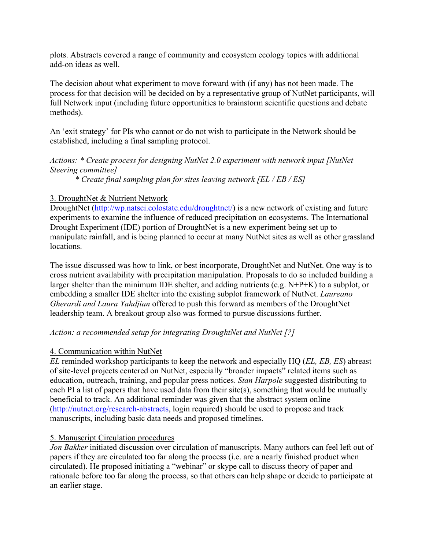plots. Abstracts covered a range of community and ecosystem ecology topics with additional add-on ideas as well.

The decision about what experiment to move forward with (if any) has not been made. The process for that decision will be decided on by a representative group of NutNet participants, will full Network input (including future opportunities to brainstorm scientific questions and debate methods).

An 'exit strategy' for PIs who cannot or do not wish to participate in the Network should be established, including a final sampling protocol.

*Actions: \* Create process for designing NutNet 2.0 experiment with network input [NutNet Steering committee]*

*\* Create final sampling plan for sites leaving network [EL / EB / ES]*

# 3. DroughtNet & Nutrient Network

DroughtNet (http://wp.natsci.colostate.edu/droughtnet/) is a new network of existing and future experiments to examine the influence of reduced precipitation on ecosystems. The International Drought Experiment (IDE) portion of DroughtNet is a new experiment being set up to manipulate rainfall, and is being planned to occur at many NutNet sites as well as other grassland locations.

The issue discussed was how to link, or best incorporate, DroughtNet and NutNet. One way is to cross nutrient availability with precipitation manipulation. Proposals to do so included building a larger shelter than the minimum IDE shelter, and adding nutrients (e.g. N+P+K) to a subplot, or embedding a smaller IDE shelter into the existing subplot framework of NutNet. *Laureano Gherardi and Laura Yahdjian* offered to push this forward as members of the DroughtNet leadership team. A breakout group also was formed to pursue discussions further.

# *Action: a recommended setup for integrating DroughtNet and NutNet [?]*

# 4. Communication within NutNet

*EL* reminded workshop participants to keep the network and especially HQ (*EL, EB, ES*) abreast of site-level projects centered on NutNet, especially "broader impacts" related items such as education, outreach, training, and popular press notices. *Stan Harpole* suggested distributing to each PI a list of papers that have used data from their site(s), something that would be mutually beneficial to track. An additional reminder was given that the abstract system online (http://nutnet.org/research-abstracts, login required) should be used to propose and track manuscripts, including basic data needs and proposed timelines.

# 5. Manuscript Circulation procedures

*Jon Bakker* initiated discussion over circulation of manuscripts. Many authors can feel left out of papers if they are circulated too far along the process (i.e. are a nearly finished product when circulated). He proposed initiating a "webinar" or skype call to discuss theory of paper and rationale before too far along the process, so that others can help shape or decide to participate at an earlier stage.